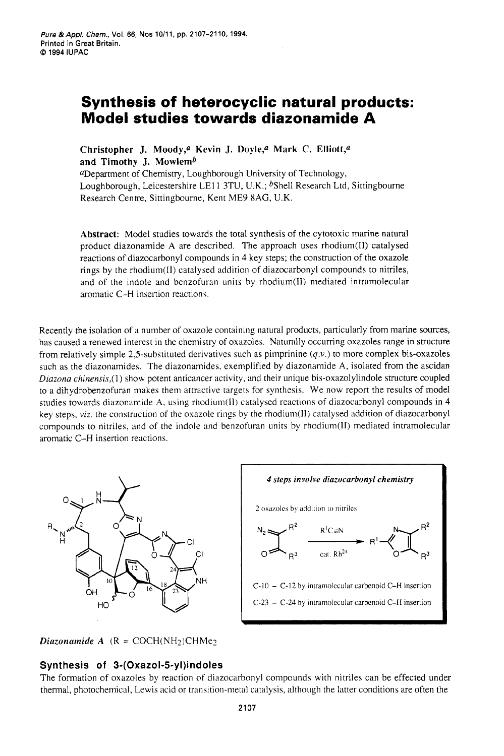# **Synthesis of heterocyclic natural products: Model studies towards diazonamide A**

Christopher J. Moody,<sup>a</sup> Kevin J. Doyle,<sup>a</sup> Mark C. Elliott,<sup>a</sup> **and Timothy J. Mowlemb** 

a Department of Chemistry, Loughborough University of Technology, Loughborough, Leicestershire LE11 3TU, U.K.; <sup>b</sup>Shell Research Ltd, Sittingbourne Research Centre, Sittingbourne, Kent ME9 **8AG,** U.K.

**Abstract:** Model studies towards the total synthesis of the cytotoxic marine natural product diazonamide **A** are described. The approach uses rhodium(I1) catalysed reactions of diazocarbonyl compounds in **4** key steps; the construction of the oxazole rings by the rhodium(I1) catalysed addition of diazocarbonyl compounds to nitriles, and of the indole and benzofuran units by rhodium $(II)$  mediated intramolecular aromatic C-H insertion reaction\.

Recently the isolation of **a** number of oxazole containing natural products, particularly from marine sources, has caused a renewed interest in the chemistry of oxazoles. Naturally occurring oxazoles range in structure from relatively simple 2,5-substituted derivatives such as pimprinine *(q.v.)* to more complex bis-oxazoles such as the diazonamides. The diazonamides, exemplified by diazonamide **A,** isolated from the ascidan *Diazona chinensis*,(1) show potent anticancer activity, and their unique bis-oxazolylindole structure coupled to a dihydrobenzofuran makes them attractive targets for synthesis. We now report the results of model studies towards diazonamide A, using rhodium(II) catalysed reactions of diazocarbonyl compounds in 4 key steps, *viz.* the construction of the oxazole rings by the rhodiuni(l1) catalysed addition of diazocarbonyl compounds to nitriles, and of the indole and benzofuran units by rhodium $(I)$  mediated intramolecular aromatic C-H insertion reactions.





# **Synthesis of 3-(Oxazol-5-yl)indoles**

The formation of oxazoles by reaction of diazocarbonyl compounds with nitriles can be effected under thermal, photochemical, Lewis acid or transition-metal catalysis, although the latter conditions are often the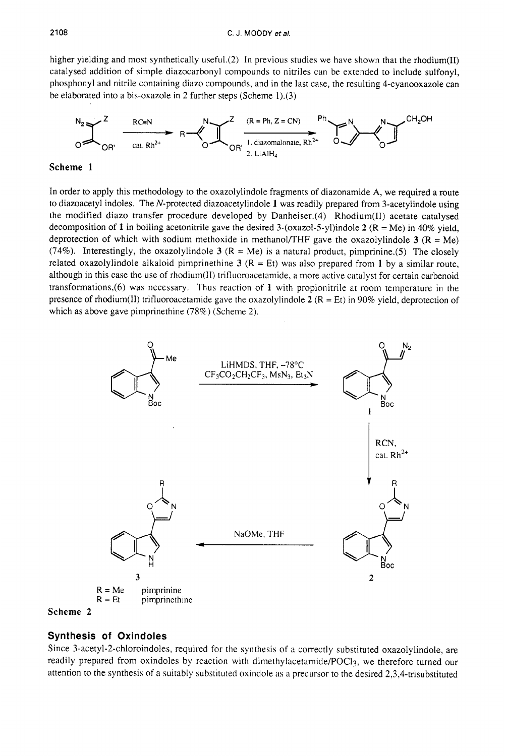higher yielding and most synthetically useful.(2) In previous studies we have shown that the rhodium(II) catalysed addition of simple diazocarbonyl compounds to nitriles can be extended to include sulfonyl, phosphonyl and nitrile containing diazo compounds, and in the last case, the resulting 4-cyanooxazole can be elaborated into a bis-oxazole in *2* further steps (Scheme 1).(3)



# **Scheme 1**

In order to apply this methodology to the oxazolylindole fragments of diazonamide **A,** we required **a** route to diazoacetyl indoles. The N-protected diazoacetylindole **1** was readily prepared from 3-acetylindole using the modified diazo transfer procedure developed by Danheiser.(4) Rhodium(I1) acetate catalysed decomposition of **1** in boiling acetonitrile gave the desired 3-(oxazol-S-yl)indole **2** (R = Me) in 40% yield, deprotection of which with sodium methoxide in methanol/THF gave the oxazolylindole  $3 (R = Me)$ (74%). Interestingly, the oxazolylindole  $3 (R = Me)$  is a natural product, pimprinine.(5) The closely related oxazolylindole alkaloid pimprinethine  $3$  ( $R = Et$ ) was also prepared from 1 by a similar route, although in this case the use of rhodium(II) trifluoroacetamide, a more active catalyst for certain carbenoid transformations,(6) was necessary. Thus reaction of **1** with propionitrile at room temperature in the presence of rhodium(II) trifluoroacetamide gave the oxazolylindole  $2 (R = Et)$  in 90% yield, deprotection of which as above gave pimprinethine (78%) (Scheme 2).





# **Synthesis of Oxindoles**

Since 3-acetyl-2-chloroindoles, required for the synthesis of a correctly substituted oxazolylindole, are readily prepared from oxindoles by reaction with dimethylacetamide/POCl3, we therefore turned our attention to the synthesis of a suitably substituted oxindole as a precursor to the desired 2,3,4-trisubstituted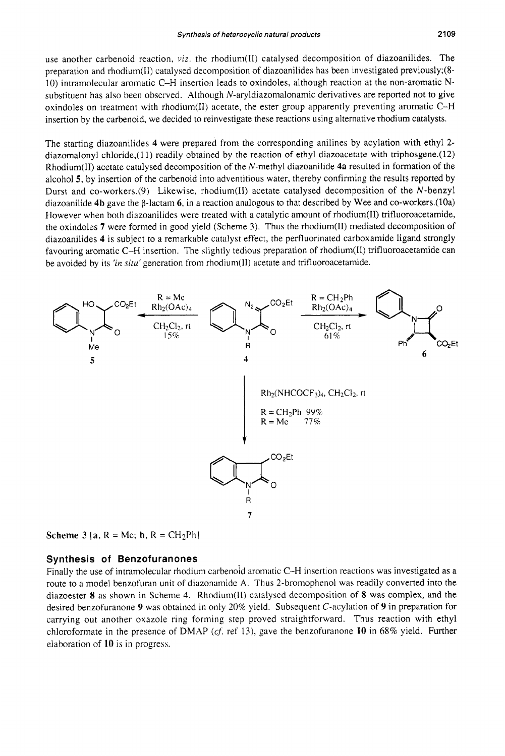use another carbenoid reaction, *viz.* the rhodium(II) catalysed decomposition of diazoanilides. The preparation and rhodiuni(11) catalysed decomposition of diazoanilides has been investigated previously;(8- 10) intramolecular aromatic C-H insertion leads to oxindoles, although reaction at the non-aromatic Nsubstituent has also been observed. Although  $N$ -aryldiazomalonamic derivatives are reported not to give oxindoles on treatment with rhodium(I1) acetate, the ester group apparently preventing aromatic C-H insertion by the carbenoid, we decided to reinvestigate these reactions using alternative rhodium catalysts.

The starting diazoanilides **4** were prepared from the corresponding anilines by acylation with ethyl **2**  diazomalonyl chloride,(11) readily obtained by the reaction of ethyl diazoacetate with triphosgene.(12) Rhodium(I1) acetate catalysed decomposition of the N-methyl diazoanilide **4a** resulted in formation of the alcohol *5,* by insertion of the carbenoid into adventitious water, thereby confirming the results reported by Durst and co-workers.(9) Likewise, rhodium(II) acetate catalysed decomposition of the N-benzyl diazoanilide **4b** gave the  $\beta$ -lactam 6, in a reaction analogous to that described by Wee and co-workers.(10a) However when both diazoanilides were treated with a catalytic amount of rhodium(I1) trifluoroacetamide, the oxindoles **7** were formed in good yield (Scheme 3). Thus the rhodium(I1) mediated decomposition of diazoanilides **4** is subject to a remarkable catalyst effect, the perfluorinated carboxamide ligand strongly favouring aromatic C-H insertion. The slightly tedious preparation of rhodium(l1) trifluoroacetamide can be avoided by its *'in situ'* generation from rhodium(II) acetate and trifluoroacetamide.



**Scheme 3** [a,  $R = Me$ ; **b**,  $R = CH_2Ph$ ]

#### **Synthesis of Benzofuranones**

Finally the use of intramolecular rhodium carbenoid aromatic C-H insertion reactions was investigated as a route to a model benzofuran unit of diazonamide A. Thus 2-bromophenol was readily converted into the diazoester *8* as shown in Scheme **4.** Rhodium(l1) catalysed decomposition of *8* was complex, and the desired benzofuranone **9** was obtained in only 20% yield. Subsequent C-acylation of **9** in preparation for carrying out another oxazole ring forming step proved straightforward. Thus reaction with ethyl chloroformate in the presence of DMAP *(cf:* ref I?), gave the benzofuranone **10** in 68% yield. Further elaboration of **10** is in progress.